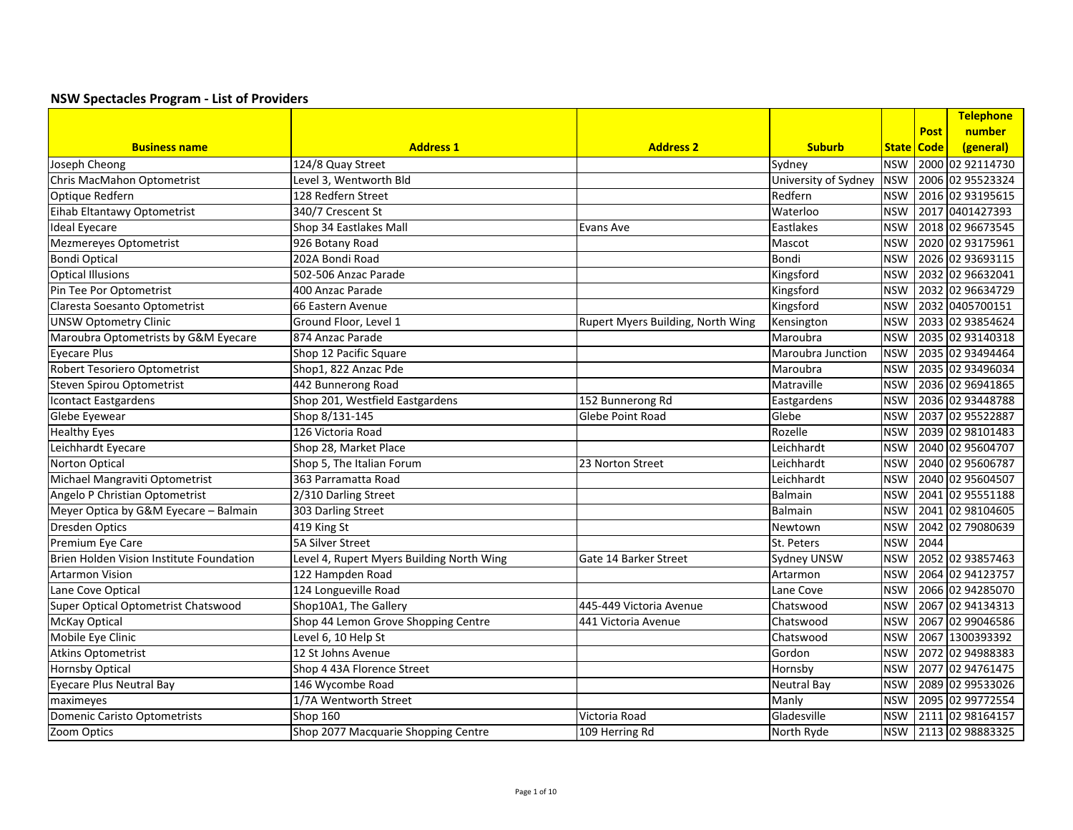| <b>Post</b><br><b>Address 1</b><br><b>Suburb</b><br><b>Business name</b><br><b>Address 2</b><br>State   Code<br>(general)<br>2000 02 92114730<br>124/8 Quay Street<br>Joseph Cheong<br>Sydney<br><b>NSW</b><br>Level 3, Wentworth Bld<br>2006 02 95523324<br>Chris MacMahon Optometrist<br>University of Sydney<br><b>NSW</b><br>2016 02 93195615<br>Optique Redfern<br>128 Redfern Street<br><b>NSW</b><br>Redfern<br>Eihab Eltantawy Optometrist<br>340/7 Crescent St<br>2017 0401427393<br>Waterloo<br><b>NSW</b><br>2018 02 96673545<br><b>Ideal Eyecare</b><br>Shop 34 Eastlakes Mall<br><b>NSW</b><br>Eastlakes<br>Evans Ave<br>2020 02 93175961<br>Mezmereyes Optometrist<br>926 Botany Road<br><b>NSW</b><br>Mascot<br><b>Bondi Optical</b><br>2026 02 93693115<br>202A Bondi Road<br>Bondi<br><b>NSW</b> |                          |                      |           |            | <b>Telephone</b> |
|-------------------------------------------------------------------------------------------------------------------------------------------------------------------------------------------------------------------------------------------------------------------------------------------------------------------------------------------------------------------------------------------------------------------------------------------------------------------------------------------------------------------------------------------------------------------------------------------------------------------------------------------------------------------------------------------------------------------------------------------------------------------------------------------------------------------|--------------------------|----------------------|-----------|------------|------------------|
|                                                                                                                                                                                                                                                                                                                                                                                                                                                                                                                                                                                                                                                                                                                                                                                                                   |                          |                      |           |            | number           |
|                                                                                                                                                                                                                                                                                                                                                                                                                                                                                                                                                                                                                                                                                                                                                                                                                   |                          |                      |           |            |                  |
|                                                                                                                                                                                                                                                                                                                                                                                                                                                                                                                                                                                                                                                                                                                                                                                                                   |                          |                      |           |            |                  |
|                                                                                                                                                                                                                                                                                                                                                                                                                                                                                                                                                                                                                                                                                                                                                                                                                   |                          |                      |           |            |                  |
|                                                                                                                                                                                                                                                                                                                                                                                                                                                                                                                                                                                                                                                                                                                                                                                                                   |                          |                      |           |            |                  |
|                                                                                                                                                                                                                                                                                                                                                                                                                                                                                                                                                                                                                                                                                                                                                                                                                   |                          |                      |           |            |                  |
|                                                                                                                                                                                                                                                                                                                                                                                                                                                                                                                                                                                                                                                                                                                                                                                                                   |                          |                      |           |            |                  |
|                                                                                                                                                                                                                                                                                                                                                                                                                                                                                                                                                                                                                                                                                                                                                                                                                   |                          |                      |           |            |                  |
|                                                                                                                                                                                                                                                                                                                                                                                                                                                                                                                                                                                                                                                                                                                                                                                                                   |                          |                      |           |            |                  |
|                                                                                                                                                                                                                                                                                                                                                                                                                                                                                                                                                                                                                                                                                                                                                                                                                   | <b>Optical Illusions</b> | 502-506 Anzac Parade | Kingsford | <b>NSW</b> | 2032 02 96632041 |
| 400 Anzac Parade<br>2032 02 96634729<br>Pin Tee Por Optometrist<br>Kingsford<br><b>NSW</b>                                                                                                                                                                                                                                                                                                                                                                                                                                                                                                                                                                                                                                                                                                                        |                          |                      |           |            |                  |
| 2032 0405700151<br>Claresta Soesanto Optometrist<br>66 Eastern Avenue<br>Kingsford<br><b>NSW</b>                                                                                                                                                                                                                                                                                                                                                                                                                                                                                                                                                                                                                                                                                                                  |                          |                      |           |            |                  |
| <b>UNSW Optometry Clinic</b><br>Ground Floor, Level 1<br>2033 02 93854624<br>Rupert Myers Building, North Wing<br>Kensington<br><b>NSW</b>                                                                                                                                                                                                                                                                                                                                                                                                                                                                                                                                                                                                                                                                        |                          |                      |           |            |                  |
| 2035 02 93140318<br>Maroubra Optometrists by G&M Eyecare<br>874 Anzac Parade<br>Maroubra<br><b>NSW</b>                                                                                                                                                                                                                                                                                                                                                                                                                                                                                                                                                                                                                                                                                                            |                          |                      |           |            |                  |
| 2035 02 93494464<br><b>Eyecare Plus</b><br>Shop 12 Pacific Square<br><b>NSW</b><br>Maroubra Junction                                                                                                                                                                                                                                                                                                                                                                                                                                                                                                                                                                                                                                                                                                              |                          |                      |           |            |                  |
| 2035 02 93496034<br>Robert Tesoriero Optometrist<br>Shop1, 822 Anzac Pde<br><b>NSW</b><br>Maroubra                                                                                                                                                                                                                                                                                                                                                                                                                                                                                                                                                                                                                                                                                                                |                          |                      |           |            |                  |
| 442 Bunnerong Road<br>2036 02 96941865<br>Steven Spirou Optometrist<br>Matraville<br><b>NSW</b>                                                                                                                                                                                                                                                                                                                                                                                                                                                                                                                                                                                                                                                                                                                   |                          |                      |           |            |                  |
| 2036 02 93448788<br>Shop 201, Westfield Eastgardens<br>152 Bunnerong Rd<br><b>NSW</b><br>Icontact Eastgardens<br>Eastgardens                                                                                                                                                                                                                                                                                                                                                                                                                                                                                                                                                                                                                                                                                      |                          |                      |           |            |                  |
| 2037 02 95522887<br>Shop 8/131-145<br>Glebe Eyewear<br><b>Glebe Point Road</b><br>Glebe<br><b>NSW</b>                                                                                                                                                                                                                                                                                                                                                                                                                                                                                                                                                                                                                                                                                                             |                          |                      |           |            |                  |
| 2039 02 98101483<br><b>Healthy Eyes</b><br>126 Victoria Road<br><b>NSW</b><br>Rozelle                                                                                                                                                                                                                                                                                                                                                                                                                                                                                                                                                                                                                                                                                                                             |                          |                      |           |            |                  |
| 2040 02 95604707<br>Leichhardt Eyecare<br><b>NSW</b><br>Shop 28, Market Place<br>Leichhardt                                                                                                                                                                                                                                                                                                                                                                                                                                                                                                                                                                                                                                                                                                                       |                          |                      |           |            |                  |
| 2040 02 95606787<br>Norton Optical<br>Shop 5, The Italian Forum<br><b>NSW</b><br>23 Norton Street<br>Leichhardt                                                                                                                                                                                                                                                                                                                                                                                                                                                                                                                                                                                                                                                                                                   |                          |                      |           |            |                  |
| Michael Mangraviti Optometrist<br>363 Parramatta Road<br>2040 02 95604507<br>Leichhardt<br><b>NSW</b>                                                                                                                                                                                                                                                                                                                                                                                                                                                                                                                                                                                                                                                                                                             |                          |                      |           |            |                  |
| Angelo P Christian Optometrist<br>2041 02 95551188<br>2/310 Darling Street<br><b>NSW</b><br><b>Balmain</b>                                                                                                                                                                                                                                                                                                                                                                                                                                                                                                                                                                                                                                                                                                        |                          |                      |           |            |                  |
| Meyer Optica by G&M Eyecare - Balmain<br>2041 02 98104605<br>303 Darling Street<br><b>NSW</b><br>Balmain                                                                                                                                                                                                                                                                                                                                                                                                                                                                                                                                                                                                                                                                                                          |                          |                      |           |            |                  |
| <b>Dresden Optics</b><br>419 King St<br>2042 02 79080639<br><b>NSW</b><br>Newtown                                                                                                                                                                                                                                                                                                                                                                                                                                                                                                                                                                                                                                                                                                                                 |                          |                      |           |            |                  |
| <b>5A Silver Street</b><br>2044<br>Premium Eye Care<br><b>NSW</b><br>St. Peters                                                                                                                                                                                                                                                                                                                                                                                                                                                                                                                                                                                                                                                                                                                                   |                          |                      |           |            |                  |
| 2052 02 93857463<br>Brien Holden Vision Institute Foundation<br>Level 4, Rupert Myers Building North Wing<br>Gate 14 Barker Street<br>Sydney UNSW<br><b>NSW</b>                                                                                                                                                                                                                                                                                                                                                                                                                                                                                                                                                                                                                                                   |                          |                      |           |            |                  |
| 2064 02 94123757<br>122 Hampden Road<br><b>Artarmon Vision</b><br><b>NSW</b><br>Artarmon                                                                                                                                                                                                                                                                                                                                                                                                                                                                                                                                                                                                                                                                                                                          |                          |                      |           |            |                  |
| 2066 02 94285070<br>124 Longueville Road<br><b>NSW</b><br>Lane Cove Optical<br>Lane Cove                                                                                                                                                                                                                                                                                                                                                                                                                                                                                                                                                                                                                                                                                                                          |                          |                      |           |            |                  |
| 445-449 Victoria Avenue<br>2067 02 94134313<br>Super Optical Optometrist Chatswood<br>Shop10A1, The Gallery<br>Chatswood<br><b>NSW</b>                                                                                                                                                                                                                                                                                                                                                                                                                                                                                                                                                                                                                                                                            |                          |                      |           |            |                  |
| <b>McKay Optical</b><br>Shop 44 Lemon Grove Shopping Centre<br>2067<br>441 Victoria Avenue<br>Chatswood<br><b>NSW</b>                                                                                                                                                                                                                                                                                                                                                                                                                                                                                                                                                                                                                                                                                             |                          |                      |           |            | 02 99046586      |
| Mobile Eye Clinic<br>2067 1300393392<br>Level 6, 10 Help St<br><b>NSW</b><br>Chatswood                                                                                                                                                                                                                                                                                                                                                                                                                                                                                                                                                                                                                                                                                                                            |                          |                      |           |            |                  |
| <b>Atkins Optometrist</b><br>2072 02 94988383<br>12 St Johns Avenue<br><b>NSW</b><br>Gordon                                                                                                                                                                                                                                                                                                                                                                                                                                                                                                                                                                                                                                                                                                                       |                          |                      |           |            |                  |
| 2077 02 94761475<br><b>Hornsby Optical</b><br>Shop 4 43A Florence Street<br><b>NSW</b><br>Hornsby                                                                                                                                                                                                                                                                                                                                                                                                                                                                                                                                                                                                                                                                                                                 |                          |                      |           |            |                  |
| Eyecare Plus Neutral Bay<br>146 Wycombe Road<br>2089 02 99533026<br><b>Neutral Bay</b><br><b>NSW</b>                                                                                                                                                                                                                                                                                                                                                                                                                                                                                                                                                                                                                                                                                                              |                          |                      |           |            |                  |
| 1/7A Wentworth Street<br>2095 02 99772554<br>Manly<br><b>NSW</b><br>maximeyes                                                                                                                                                                                                                                                                                                                                                                                                                                                                                                                                                                                                                                                                                                                                     |                          |                      |           |            |                  |
| 2111 02 98164157<br>Domenic Caristo Optometrists<br><b>Shop 160</b><br>Victoria Road<br>Gladesville<br><b>NSW</b>                                                                                                                                                                                                                                                                                                                                                                                                                                                                                                                                                                                                                                                                                                 |                          |                      |           |            |                  |
| Shop 2077 Macquarie Shopping Centre<br>2113 02 98883325<br>Zoom Optics<br>109 Herring Rd<br>North Ryde<br><b>NSW</b>                                                                                                                                                                                                                                                                                                                                                                                                                                                                                                                                                                                                                                                                                              |                          |                      |           |            |                  |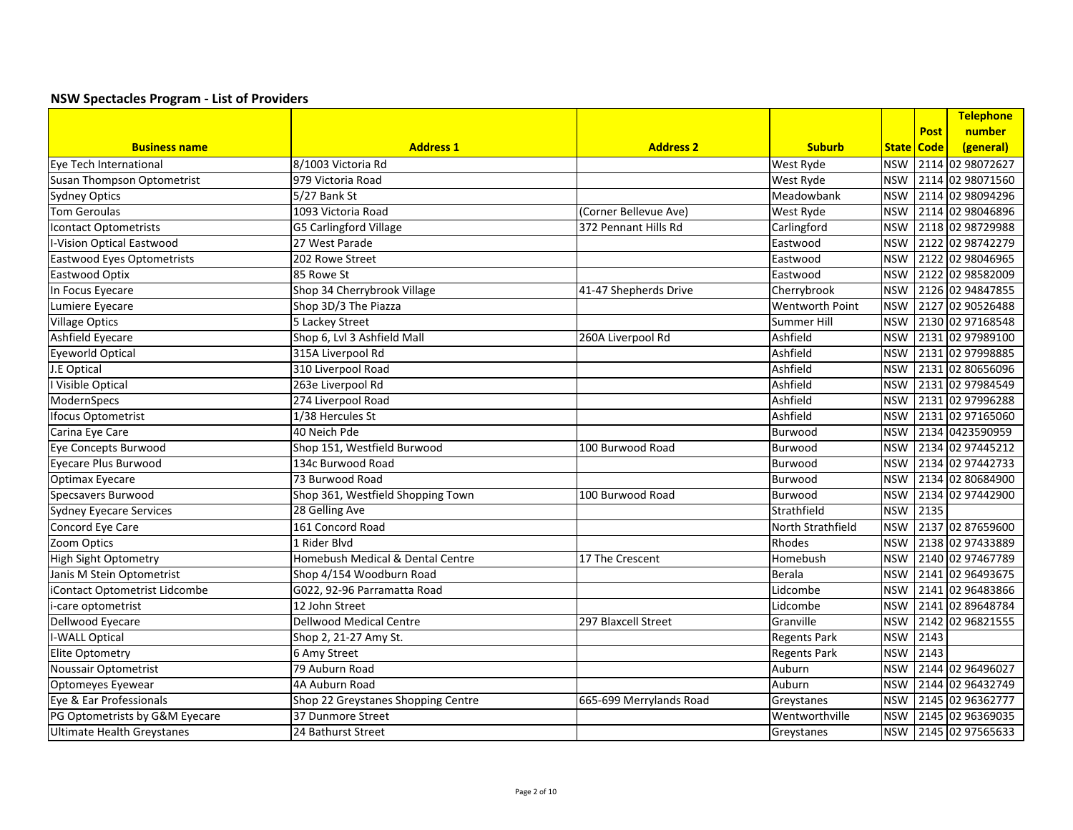|                                   |                                    |                         |                        |            |             | Telephone            |
|-----------------------------------|------------------------------------|-------------------------|------------------------|------------|-------------|----------------------|
|                                   |                                    |                         |                        |            | <b>Post</b> | number               |
| <b>Business name</b>              | <b>Address 1</b>                   | <b>Address 2</b>        | <b>Suburb</b>          |            | State Code  | (general)            |
| Eye Tech International            | 8/1003 Victoria Rd                 |                         | West Ryde              | <b>NSW</b> |             | 2114 02 98072627     |
| Susan Thompson Optometrist        | 979 Victoria Road                  |                         | <b>West Ryde</b>       | <b>NSW</b> |             | 2114 02 98071560     |
| <b>Sydney Optics</b>              | 5/27 Bank St                       |                         | Meadowbank             | <b>NSW</b> |             | 2114 02 98094296     |
| <b>Tom Geroulas</b>               | 1093 Victoria Road                 | (Corner Bellevue Ave)   | <b>West Ryde</b>       | <b>NSW</b> |             | 2114 02 98046896     |
| <b>Icontact Optometrists</b>      | G5 Carlingford Village             | 372 Pennant Hills Rd    | Carlingford            | <b>NSW</b> |             | 2118 02 98729988     |
| <b>I-Vision Optical Eastwood</b>  | 27 West Parade                     |                         | Eastwood               | <b>NSW</b> |             | 2122 02 98742279     |
| <b>Eastwood Eyes Optometrists</b> | 202 Rowe Street                    |                         | Eastwood               | <b>NSW</b> |             | 2122 02 98046965     |
| Eastwood Optix                    | 85 Rowe St                         |                         | Eastwood               | <b>NSW</b> |             | 2122 02 98582009     |
| In Focus Eyecare                  | Shop 34 Cherrybrook Village        | 41-47 Shepherds Drive   | Cherrybrook            | <b>NSW</b> |             | 2126 02 94847855     |
| Lumiere Eyecare                   | Shop 3D/3 The Piazza               |                         | <b>Wentworth Point</b> | <b>NSW</b> |             | 2127 02 90526488     |
| <b>Village Optics</b>             | 5 Lackey Street                    |                         | Summer Hill            | <b>NSW</b> |             | 2130 02 97168548     |
| <b>Ashfield Eyecare</b>           | Shop 6, Lvl 3 Ashfield Mall        | 260A Liverpool Rd       | Ashfield               | <b>NSW</b> |             | 2131 02 97989100     |
| <b>Eyeworld Optical</b>           | 315A Liverpool Rd                  |                         | Ashfield               | <b>NSW</b> |             | 2131 02 97998885     |
| J.E Optical                       | 310 Liverpool Road                 |                         | Ashfield               | <b>NSW</b> |             | 2131 02 80656096     |
| I Visible Optical                 | 263e Liverpool Rd                  |                         | Ashfield               | <b>NSW</b> |             | 2131 02 97984549     |
| ModernSpecs                       | 274 Liverpool Road                 |                         | Ashfield               | <b>NSW</b> |             | 2131 02 97996288     |
| <b>Ifocus Optometrist</b>         | 1/38 Hercules St                   |                         | Ashfield               | <b>NSW</b> |             | 2131 02 97165060     |
| Carina Eye Care                   | 40 Neich Pde                       |                         | Burwood                | <b>NSW</b> |             | 2134 0423590959      |
| Eye Concepts Burwood              | Shop 151, Westfield Burwood        | 100 Burwood Road        | Burwood                | <b>NSW</b> |             | 2134 02 97445212     |
| <b>Eyecare Plus Burwood</b>       | 134c Burwood Road                  |                         | Burwood                | <b>NSW</b> |             | 2134 02 97442733     |
| <b>Optimax Eyecare</b>            | 73 Burwood Road                    |                         | Burwood                | <b>NSW</b> |             | 2134 02 80684900     |
| Specsavers Burwood                | Shop 361, Westfield Shopping Town  | 100 Burwood Road        | Burwood                | <b>NSW</b> |             | 2134 02 97442900     |
| <b>Sydney Eyecare Services</b>    | 28 Gelling Ave                     |                         | Strathfield            | <b>NSW</b> | 2135        |                      |
| Concord Eye Care                  | 161 Concord Road                   |                         | North Strathfield      | <b>NSW</b> |             | 2137 02 87659600     |
| Zoom Optics                       | 1 Rider Blvd                       |                         | Rhodes                 | <b>NSW</b> |             | 2138 02 97433889     |
| <b>High Sight Optometry</b>       | Homebush Medical & Dental Centre   | 17 The Crescent         | Homebush               | <b>NSW</b> |             | 2140 02 97467789     |
| Janis M Stein Optometrist         | Shop 4/154 Woodburn Road           |                         | Berala                 | <b>NSW</b> |             | 2141 02 96493675     |
| iContact Optometrist Lidcombe     | G022, 92-96 Parramatta Road        |                         | Lidcombe               | <b>NSW</b> |             | 2141 02 96483866     |
| i-care optometrist                | 12 John Street                     |                         | Lidcombe               | <b>NSW</b> |             | 2141 02 89648784     |
| Dellwood Eyecare                  | <b>Dellwood Medical Centre</b>     | 297 Blaxcell Street     | Granville              | <b>NSW</b> |             | 2142 02 96821555     |
| <b>I-WALL Optical</b>             | Shop 2, 21-27 Amy St.              |                         | <b>Regents Park</b>    | <b>NSW</b> | 2143        |                      |
| <b>Elite Optometry</b>            | 6 Amy Street                       |                         | <b>Regents Park</b>    | <b>NSW</b> | 2143        |                      |
| Noussair Optometrist              | 79 Auburn Road                     |                         | Auburn                 | <b>NSW</b> |             | 2144 02 96496027     |
| Optomeyes Eyewear                 | 4A Auburn Road                     |                         | Auburn                 | <b>NSW</b> |             | 2144 02 96432749     |
| Eye & Ear Professionals           | Shop 22 Greystanes Shopping Centre | 665-699 Merrylands Road | Greystanes             | <b>NSW</b> |             | 2145 02 96362777     |
| PG Optometrists by G&M Eyecare    | 37 Dunmore Street                  |                         | Wentworthville         | <b>NSW</b> |             | 2145 02 96369035     |
| <b>Ultimate Health Greystanes</b> | 24 Bathurst Street                 |                         | Greystanes             |            |             | NSW 2145 02 97565633 |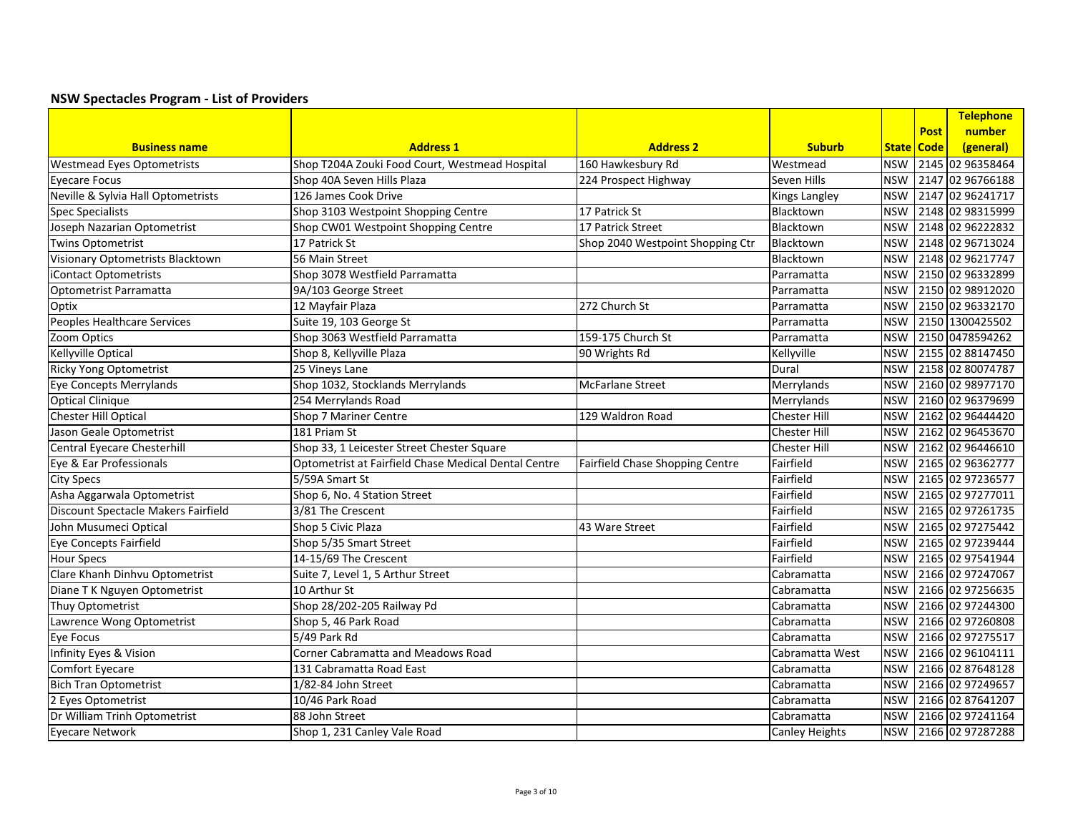|                                     |                                                      |                                  |                       |            |              | Telephone        |
|-------------------------------------|------------------------------------------------------|----------------------------------|-----------------------|------------|--------------|------------------|
|                                     |                                                      |                                  |                       |            | <b>Post</b>  | number           |
| <b>Business name</b>                | <b>Address 1</b>                                     | <b>Address 2</b>                 | <b>Suburb</b>         |            | State   Code | (general)        |
| <b>Westmead Eyes Optometrists</b>   | Shop T204A Zouki Food Court, Westmead Hospital       | 160 Hawkesbury Rd                | Westmead              | <b>NSW</b> |              | 2145 02 96358464 |
| Eyecare Focus                       | Shop 40A Seven Hills Plaza                           | 224 Prospect Highway             | <b>Seven Hills</b>    | <b>NSW</b> |              | 2147 02 96766188 |
| Neville & Sylvia Hall Optometrists  | 126 James Cook Drive                                 |                                  | <b>Kings Langley</b>  | <b>NSW</b> |              | 2147 02 96241717 |
| <b>Spec Specialists</b>             | Shop 3103 Westpoint Shopping Centre                  | 17 Patrick St                    | Blacktown             | <b>NSW</b> |              | 2148 02 98315999 |
| Joseph Nazarian Optometrist         | Shop CW01 Westpoint Shopping Centre                  | 17 Patrick Street                | Blacktown             | <b>NSW</b> |              | 2148 02 96222832 |
| <b>Twins Optometrist</b>            | 17 Patrick St                                        | Shop 2040 Westpoint Shopping Ctr | Blacktown             | <b>NSW</b> |              | 2148 02 96713024 |
| Visionary Optometrists Blacktown    | 56 Main Street                                       |                                  | Blacktown             | <b>NSW</b> |              | 2148 02 96217747 |
| iContact Optometrists               | Shop 3078 Westfield Parramatta                       |                                  | Parramatta            | <b>NSW</b> |              | 2150 02 96332899 |
| Optometrist Parramatta              | 9A/103 George Street                                 |                                  | Parramatta            | <b>NSW</b> |              | 2150 02 98912020 |
| Optix                               | 12 Mayfair Plaza                                     | 272 Church St                    | Parramatta            | <b>NSW</b> |              | 2150 02 96332170 |
| Peoples Healthcare Services         | Suite 19, 103 George St                              |                                  | Parramatta            | <b>NSW</b> |              | 2150 1300425502  |
| Zoom Optics                         | Shop 3063 Westfield Parramatta                       | 159-175 Church St                | <b>Parramatta</b>     | <b>NSW</b> |              | 2150 0478594262  |
| Kellyville Optical                  | Shop 8, Kellyville Plaza                             | 90 Wrights Rd                    | Kellyville            | <b>NSW</b> |              | 2155 02 88147450 |
| <b>Ricky Yong Optometrist</b>       | 25 Vineys Lane                                       |                                  | Dural                 | <b>NSW</b> |              | 2158 02 80074787 |
| Eye Concepts Merrylands             | Shop 1032, Stocklands Merrylands                     | McFarlane Street                 | Merrylands            | <b>NSW</b> |              | 2160 02 98977170 |
| <b>Optical Clinique</b>             | 254 Merrylands Road                                  |                                  | Merrylands            | <b>NSW</b> |              | 2160 02 96379699 |
| Chester Hill Optical                | Shop 7 Mariner Centre                                | 129 Waldron Road                 | <b>Chester Hill</b>   | <b>NSW</b> |              | 2162 02 96444420 |
| Jason Geale Optometrist             | 181 Priam St                                         |                                  | <b>Chester Hill</b>   | <b>NSW</b> |              | 2162 02 96453670 |
| Central Eyecare Chesterhill         | Shop 33, 1 Leicester Street Chester Square           |                                  | <b>Chester Hill</b>   | <b>NSW</b> |              | 2162 02 96446610 |
| Eye & Ear Professionals             | Optometrist at Fairfield Chase Medical Dental Centre | Fairfield Chase Shopping Centre  | Fairfield             | <b>NSW</b> |              | 2165 02 96362777 |
| <b>City Specs</b>                   | 5/59A Smart St                                       |                                  | Fairfield             | <b>NSW</b> |              | 2165 02 97236577 |
| Asha Aggarwala Optometrist          | Shop 6, No. 4 Station Street                         |                                  | Fairfield             | <b>NSW</b> |              | 2165 02 97277011 |
| Discount Spectacle Makers Fairfield | 3/81 The Crescent                                    |                                  | Fairfield             | <b>NSW</b> |              | 2165 02 97261735 |
| John Musumeci Optical               | Shop 5 Civic Plaza                                   | 43 Ware Street                   | Fairfield             | <b>NSW</b> |              | 2165 02 97275442 |
| <b>Eye Concepts Fairfield</b>       | Shop 5/35 Smart Street                               |                                  | Fairfield             | <b>NSW</b> |              | 2165 02 97239444 |
| <b>Hour Specs</b>                   | 14-15/69 The Crescent                                |                                  | Fairfield             | <b>NSW</b> |              | 2165 02 97541944 |
| Clare Khanh Dinhvu Optometrist      | Suite 7, Level 1, 5 Arthur Street                    |                                  | Cabramatta            | <b>NSW</b> |              | 2166 02 97247067 |
| Diane T K Nguyen Optometrist        | 10 Arthur St                                         |                                  | Cabramatta            | <b>NSW</b> |              | 2166 02 97256635 |
| Thuy Optometrist                    | Shop 28/202-205 Railway Pd                           |                                  | Cabramatta            | <b>NSW</b> |              | 2166 02 97244300 |
| Lawrence Wong Optometrist           | Shop 5, 46 Park Road                                 |                                  | Cabramatta            | <b>NSW</b> |              | 2166 02 97260808 |
| Eye Focus                           | 5/49 Park Rd                                         |                                  | Cabramatta            | <b>NSW</b> |              | 2166 02 97275517 |
| Infinity Eyes & Vision              | <b>Corner Cabramatta and Meadows Road</b>            |                                  | Cabramatta West       | <b>NSW</b> |              | 2166 02 96104111 |
| Comfort Eyecare                     | 131 Cabramatta Road East                             |                                  | l Cabramatta          | <b>NSW</b> |              | 2166 02 87648128 |
| <b>Bich Tran Optometrist</b>        | 1/82-84 John Street                                  |                                  | Cabramatta            | <b>NSW</b> |              | 2166 02 97249657 |
| 2 Eyes Optometrist                  | 10/46 Park Road                                      |                                  | Cabramatta            | <b>NSW</b> |              | 2166 02 87641207 |
| Dr William Trinh Optometrist        | 88 John Street                                       |                                  | Cabramatta            | <b>NSW</b> |              | 2166 02 97241164 |
| <b>Eyecare Network</b>              | Shop 1, 231 Canley Vale Road                         |                                  | <b>Canley Heights</b> | <b>NSW</b> |              | 2166 02 97287288 |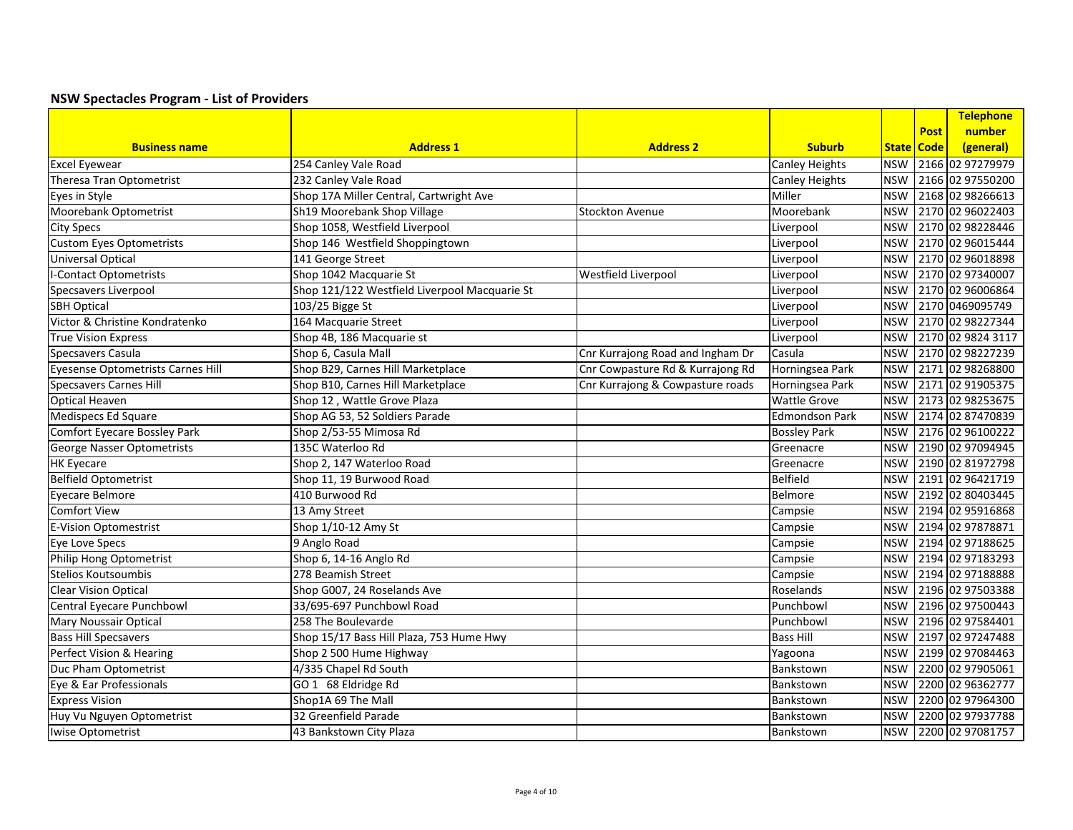|                                   |                                               |                                  |                       |              |             | Telephone         |
|-----------------------------------|-----------------------------------------------|----------------------------------|-----------------------|--------------|-------------|-------------------|
|                                   |                                               |                                  |                       |              | <b>Post</b> | number            |
| <b>Business name</b>              | <b>Address 1</b>                              | <b>Address 2</b>                 | <b>Suburb</b>         | <b>State</b> | <b>Code</b> | (general)         |
| <b>Excel Eyewear</b>              | 254 Canley Vale Road                          |                                  | Canley Heights        | <b>NSW</b>   |             | 2166 02 97279979  |
| Theresa Tran Optometrist          | 232 Canley Vale Road                          |                                  | Canley Heights        | <b>NSW</b>   |             | 2166 02 97550200  |
| Eyes in Style                     | Shop 17A Miller Central, Cartwright Ave       |                                  | Miller                | <b>NSW</b>   |             | 2168 02 98266613  |
| Moorebank Optometrist             | Sh19 Moorebank Shop Village                   | <b>Stockton Avenue</b>           | Moorebank             | <b>NSW</b>   |             | 2170 02 96022403  |
| <b>City Specs</b>                 | Shop 1058, Westfield Liverpool                |                                  | Liverpool             | <b>NSW</b>   |             | 2170 02 98228446  |
| <b>Custom Eyes Optometrists</b>   | Shop 146 Westfield Shoppingtown               |                                  | Liverpool             | <b>NSW</b>   |             | 2170 02 96015444  |
| <b>Universal Optical</b>          | 141 George Street                             |                                  | Liverpool             | <b>NSW</b>   |             | 2170 02 96018898  |
| <b>I-Contact Optometrists</b>     | Shop 1042 Macquarie St                        | Westfield Liverpool              | Liverpool             | <b>NSW</b>   |             | 2170 02 97340007  |
| Specsavers Liverpool              | Shop 121/122 Westfield Liverpool Macquarie St |                                  | Liverpool             | <b>NSW</b>   |             | 2170 02 96006864  |
| <b>SBH Optical</b>                | 103/25 Bigge St                               |                                  | Liverpool             | <b>NSW</b>   |             | 2170 0469095749   |
| Victor & Christine Kondratenko    | 164 Macquarie Street                          |                                  | Liverpool             | <b>NSW</b>   |             | 2170 02 98227344  |
| <b>True Vision Express</b>        | Shop 4B, 186 Macquarie st                     |                                  | Liverpool             | <b>NSW</b>   |             | 2170 02 9824 3117 |
| Specsavers Casula                 | Shop 6, Casula Mall                           | Cnr Kurrajong Road and Ingham Dr | Casula                | <b>NSW</b>   |             | 2170 02 98227239  |
| Eyesense Optometrists Carnes Hill | Shop B29, Carnes Hill Marketplace             | Cnr Cowpasture Rd & Kurrajong Rd | Horningsea Park       | <b>NSW</b>   |             | 2171 02 98268800  |
| <b>Specsavers Carnes Hill</b>     | Shop B10, Carnes Hill Marketplace             | Cnr Kurrajong & Cowpasture roads | Horningsea Park       | <b>NSW</b>   |             | 2171 02 91905375  |
| <b>Optical Heaven</b>             | Shop 12, Wattle Grove Plaza                   |                                  | <b>Wattle Grove</b>   | <b>NSW</b>   |             | 2173 02 98253675  |
| Medispecs Ed Square               | Shop AG 53, 52 Soldiers Parade                |                                  | <b>Edmondson Park</b> | <b>NSW</b>   |             | 2174 02 87470839  |
| Comfort Eyecare Bossley Park      | Shop 2/53-55 Mimosa Rd                        |                                  | <b>Bossley Park</b>   | <b>NSW</b>   |             | 2176 02 96100222  |
| George Nasser Optometrists        | 135C Waterloo Rd                              |                                  | Greenacre             | <b>NSW</b>   |             | 2190 02 97094945  |
| <b>HK Eyecare</b>                 | Shop 2, 147 Waterloo Road                     |                                  | Greenacre             | <b>NSW</b>   |             | 2190 02 81972798  |
| <b>Belfield Optometrist</b>       | Shop 11, 19 Burwood Road                      |                                  | <b>Belfield</b>       | <b>NSW</b>   |             | 2191 02 96421719  |
| Eyecare Belmore                   | 410 Burwood Rd                                |                                  | Belmore               | <b>NSW</b>   |             | 2192 02 80403445  |
| <b>Comfort View</b>               | 13 Amy Street                                 |                                  | Campsie               | <b>NSW</b>   |             | 2194 02 95916868  |
| <b>E-Vision Optomestrist</b>      | Shop 1/10-12 Amy St                           |                                  | Campsie               | <b>NSW</b>   |             | 2194 02 97878871  |
| Eye Love Specs                    | 9 Anglo Road                                  |                                  | Campsie               | <b>NSW</b>   |             | 2194 02 97188625  |
| Philip Hong Optometrist           | Shop 6, 14-16 Anglo Rd                        |                                  | Campsie               | <b>NSW</b>   |             | 2194 02 97183293  |
| Stelios Koutsoumbis               | 278 Beamish Street                            |                                  | Campsie               | <b>NSW</b>   |             | 2194 02 97188888  |
| <b>Clear Vision Optical</b>       | Shop G007, 24 Roselands Ave                   |                                  | Roselands             | <b>NSW</b>   |             | 2196 02 97503388  |
| Central Eyecare Punchbowl         | 33/695-697 Punchbowl Road                     |                                  | Punchbowl             | <b>NSW</b>   |             | 2196 02 97500443  |
| <b>Mary Noussair Optical</b>      | 258 The Boulevarde                            |                                  | Punchbowl             | <b>NSW</b>   |             | 2196 02 97584401  |
| <b>Bass Hill Specsavers</b>       | Shop 15/17 Bass Hill Plaza, 753 Hume Hwy      |                                  | <b>Bass Hill</b>      | <b>NSW</b>   |             | 2197 02 97247488  |
| Perfect Vision & Hearing          | Shop 2 500 Hume Highway                       |                                  | Yagoona               | <b>NSW</b>   |             | 2199 02 97084463  |
| Duc Pham Optometrist              | 4/335 Chapel Rd South                         |                                  | Bankstown             | <b>NSW</b>   |             | 2200 02 97905061  |
| Eye & Ear Professionals           | GO 1 68 Eldridge Rd                           |                                  | Bankstown             | <b>NSW</b>   |             | 2200 02 96362777  |
| <b>Express Vision</b>             | Shop1A 69 The Mall                            |                                  | Bankstown             | <b>NSW</b>   |             | 2200 02 97964300  |
| Huy Vu Nguyen Optometrist         | 32 Greenfield Parade                          |                                  | Bankstown             | <b>NSW</b>   |             | 2200 02 97937788  |
| Iwise Optometrist                 | 43 Bankstown City Plaza                       |                                  | Bankstown             | <b>NSW</b>   |             | 2200 02 97081757  |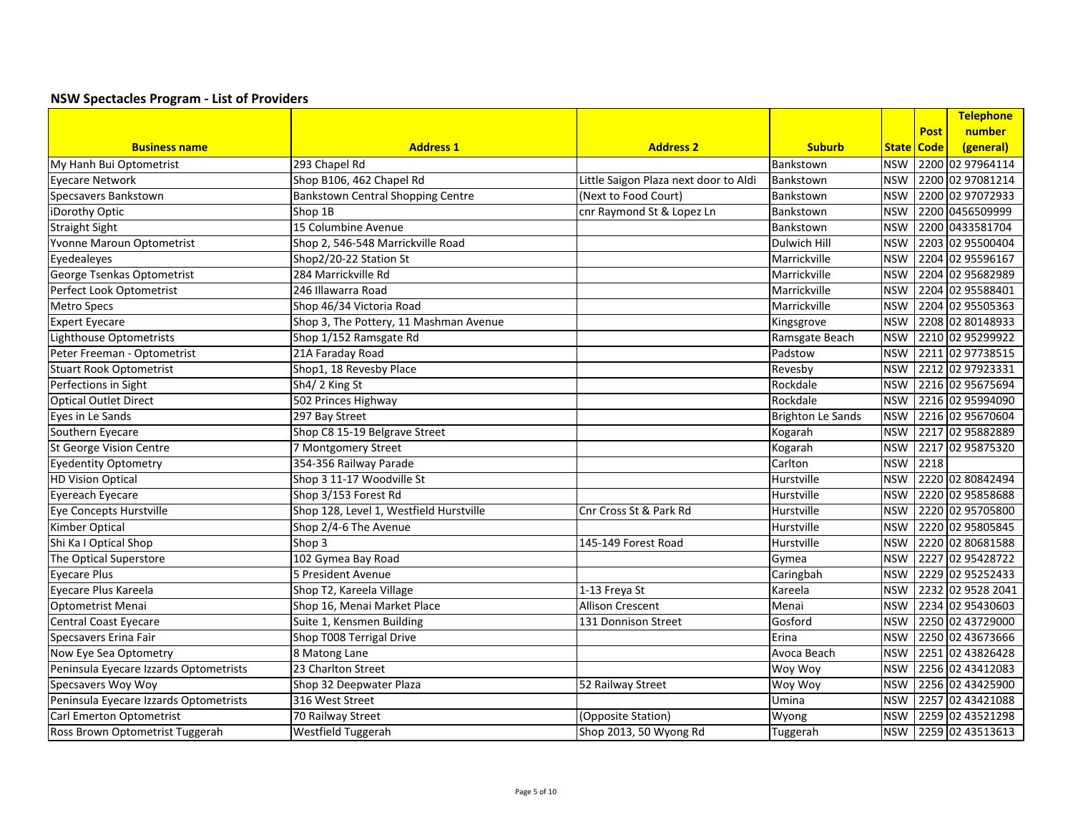|                                        |                                          |                                       |                   |            |              | Telephone         |
|----------------------------------------|------------------------------------------|---------------------------------------|-------------------|------------|--------------|-------------------|
|                                        |                                          |                                       |                   |            | <b>Post</b>  | number            |
| <b>Business name</b>                   | <b>Address 1</b>                         | <b>Address 2</b>                      | <b>Suburb</b>     |            | State   Code | (general)         |
| My Hanh Bui Optometrist                | 293 Chapel Rd                            |                                       | Bankstown         | <b>NSW</b> |              | 2200 02 97964114  |
| Eyecare Network                        | Shop B106, 462 Chapel Rd                 | Little Saigon Plaza next door to Aldi | Bankstown         | <b>NSW</b> |              | 2200 02 97081214  |
| Specsavers Bankstown                   | <b>Bankstown Central Shopping Centre</b> | (Next to Food Court)                  | Bankstown         | <b>NSW</b> |              | 2200 02 97072933  |
| iDorothy Optic                         | Shop 1B                                  | cnr Raymond St & Lopez Ln             | Bankstown         | <b>NSW</b> |              | 2200 0456509999   |
| Straight Sight                         | 15 Columbine Avenue                      |                                       | Bankstown         | <b>NSW</b> |              | 2200 0433581704   |
| Yvonne Maroun Optometrist              | Shop 2, 546-548 Marrickville Road        |                                       | Dulwich Hill      | <b>NSW</b> |              | 2203 02 95500404  |
| Eyedealeyes                            | Shop2/20-22 Station St                   |                                       | Marrickville      | <b>NSW</b> |              | 2204 02 95596167  |
| George Tsenkas Optometrist             | 284 Marrickville Rd                      |                                       | Marrickville      | <b>NSW</b> |              | 2204 02 95682989  |
| Perfect Look Optometrist               | 246 Illawarra Road                       |                                       | Marrickville      | <b>NSW</b> |              | 2204 02 95588401  |
| <b>Metro Specs</b>                     | Shop 46/34 Victoria Road                 |                                       | Marrickville      | <b>NSW</b> |              | 2204 02 95505363  |
| <b>Expert Eyecare</b>                  | Shop 3, The Pottery, 11 Mashman Avenue   |                                       | Kingsgrove        | <b>NSW</b> |              | 2208 02 80148933  |
| Lighthouse Optometrists                | Shop 1/152 Ramsgate Rd                   |                                       | Ramsgate Beach    | <b>NSW</b> |              | 2210 02 95299922  |
| Peter Freeman - Optometrist            | 21A Faraday Road                         |                                       | Padstow           | <b>NSW</b> |              | 2211 02 97738515  |
| <b>Stuart Rook Optometrist</b>         | Shop1, 18 Revesby Place                  |                                       | Revesby           | <b>NSW</b> |              | 2212 02 97923331  |
| Perfections in Sight                   | Sh4/2 King St                            |                                       | Rockdale          | <b>NSW</b> |              | 2216 02 95675694  |
| <b>Optical Outlet Direct</b>           | 502 Princes Highway                      |                                       | Rockdale          | <b>NSW</b> |              | 2216 02 95994090  |
| Eyes in Le Sands                       | 297 Bay Street                           |                                       | Brighton Le Sands | <b>NSW</b> |              | 2216 02 95670604  |
| Southern Eyecare                       | Shop C8 15-19 Belgrave Street            |                                       | Kogarah           | <b>NSW</b> |              | 2217 02 95882889  |
| St George Vision Centre                | 7 Montgomery Street                      |                                       | Kogarah           | <b>NSW</b> |              | 2217 02 95875320  |
| <b>Eyedentity Optometry</b>            | 354-356 Railway Parade                   |                                       | Carlton           | <b>NSW</b> | 2218         |                   |
| <b>HD Vision Optical</b>               | Shop 3 11-17 Woodville St                |                                       | Hurstville        | <b>NSW</b> |              | 2220 02 80842494  |
| Eyereach Eyecare                       | Shop 3/153 Forest Rd                     |                                       | Hurstville        | <b>NSW</b> |              | 2220 02 95858688  |
| Eye Concepts Hurstville                | Shop 128, Level 1, Westfield Hurstville  | Cnr Cross St & Park Rd                | Hurstville        | <b>NSW</b> |              | 2220 02 95705800  |
| Kimber Optical                         | Shop 2/4-6 The Avenue                    |                                       | <b>Hurstville</b> | <b>NSW</b> |              | 2220 02 95805845  |
| Shi Ka I Optical Shop                  | Shop 3                                   | 145-149 Forest Road                   | Hurstville        | <b>NSW</b> |              | 2220 02 80681588  |
| The Optical Superstore                 | 102 Gymea Bay Road                       |                                       | Gymea             | <b>NSW</b> |              | 2227 02 95428722  |
| <b>Eyecare Plus</b>                    | 5 President Avenue                       |                                       | Caringbah         | <b>NSW</b> |              | 2229 02 95252433  |
| Eyecare Plus Kareela                   | Shop T2, Kareela Village                 | 1-13 Freya St                         | Kareela           | <b>NSW</b> |              | 2232 02 9528 2041 |
| <b>Optometrist Menai</b>               | Shop 16, Menai Market Place              | <b>Allison Crescent</b>               | Menai             | <b>NSW</b> |              | 2234 02 95430603  |
| Central Coast Eyecare                  | Suite 1, Kensmen Building                | 131 Donnison Street                   | Gosford           | <b>NSW</b> |              | 2250 02 43729000  |
| Specsavers Erina Fair                  | Shop T008 Terrigal Drive                 |                                       | Erina             | <b>NSW</b> |              | 2250 02 43673666  |
| Now Eye Sea Optometry                  | 8 Matong Lane                            |                                       | Avoca Beach       | <b>NSW</b> |              | 2251 02 43826428  |
| Peninsula Eyecare Izzards Optometrists | 23 Charlton Street                       |                                       | Woy Woy           | <b>NSW</b> |              | 2256 02 43412083  |
| Specsavers Woy Woy                     | Shop 32 Deepwater Plaza                  | 52 Railway Street                     | Woy Woy           | <b>NSW</b> |              | 2256 02 43425900  |
| Peninsula Eyecare Izzards Optometrists | 316 West Street                          |                                       | Umina             | <b>NSW</b> |              | 2257 02 43421088  |
| Carl Emerton Optometrist               | 70 Railway Street                        | (Opposite Station)                    | Wyong             | <b>NSW</b> |              | 2259 02 43521298  |
| Ross Brown Optometrist Tuggerah        | <b>Westfield Tuggerah</b>                | Shop 2013, 50 Wyong Rd                | Tuggerah          | <b>NSW</b> |              | 2259 02 43513613  |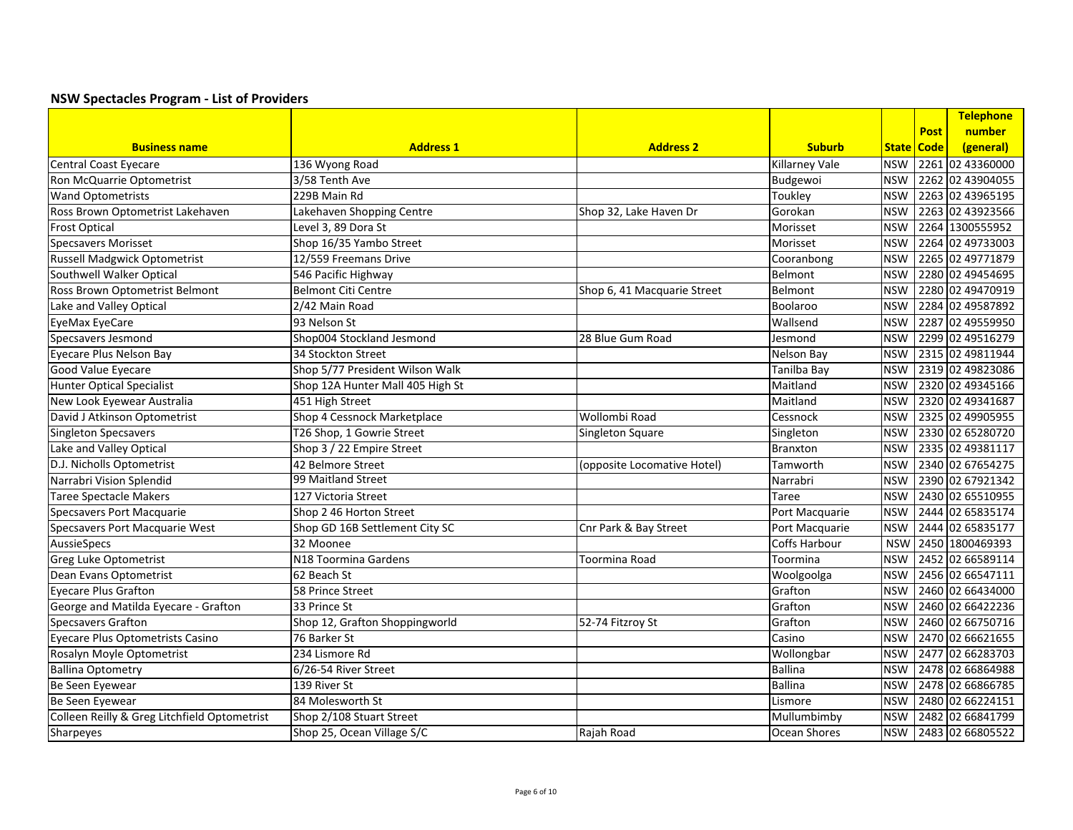|                                              |                                  |                             |                       |            |             | Telephone        |
|----------------------------------------------|----------------------------------|-----------------------------|-----------------------|------------|-------------|------------------|
|                                              |                                  |                             |                       |            | <b>Post</b> | number           |
| <b>Business name</b>                         | <b>Address 1</b>                 | <b>Address 2</b>            | <b>Suburb</b>         |            | State Code  | (general)        |
| <b>Central Coast Eyecare</b>                 | 136 Wyong Road                   |                             | <b>Killarney Vale</b> | <b>NSW</b> |             | 2261 02 43360000 |
| Ron McQuarrie Optometrist                    | 3/58 Tenth Ave                   |                             | Budgewoi              | <b>NSW</b> |             | 2262 02 43904055 |
| <b>Wand Optometrists</b>                     | 229B Main Rd                     |                             | Toukley               | <b>NSW</b> |             | 2263 02 43965195 |
| Ross Brown Optometrist Lakehaven             | Lakehaven Shopping Centre        | Shop 32, Lake Haven Dr      | Gorokan               | <b>NSW</b> |             | 2263 02 43923566 |
| <b>Frost Optical</b>                         | Level 3, 89 Dora St              |                             | Morisset              | <b>NSW</b> |             | 2264 1300555952  |
| <b>Specsavers Morisset</b>                   | Shop 16/35 Yambo Street          |                             | Morisset              | <b>NSW</b> |             | 2264 02 49733003 |
| Russell Madgwick Optometrist                 | 12/559 Freemans Drive            |                             | Cooranbong            | <b>NSW</b> |             | 2265 02 49771879 |
| Southwell Walker Optical                     | 546 Pacific Highway              |                             | Belmont               | <b>NSW</b> |             | 2280 02 49454695 |
| Ross Brown Optometrist Belmont               | <b>Belmont Citi Centre</b>       | Shop 6, 41 Macquarie Street | Belmont               | <b>NSW</b> |             | 2280 02 49470919 |
| Lake and Valley Optical                      | 2/42 Main Road                   |                             | Boolaroo              | <b>NSW</b> |             | 2284 02 49587892 |
| EyeMax EyeCare                               | 93 Nelson St                     |                             | Wallsend              | <b>NSW</b> |             | 2287 02 49559950 |
| <b>Specsavers Jesmond</b>                    | Shop004 Stockland Jesmond        | 28 Blue Gum Road            | Jesmond               | <b>NSW</b> |             | 2299 02 49516279 |
| Eyecare Plus Nelson Bay                      | 34 Stockton Street               |                             | Nelson Bay            | <b>NSW</b> |             | 2315 02 49811944 |
| Good Value Eyecare                           | Shop 5/77 President Wilson Walk  |                             | Tanilba Bay           | <b>NSW</b> |             | 2319 02 49823086 |
| Hunter Optical Specialist                    | Shop 12A Hunter Mall 405 High St |                             | Maitland              | <b>NSW</b> |             | 2320 02 49345166 |
| New Look Eyewear Australia                   | 451 High Street                  |                             | Maitland              | <b>NSW</b> |             | 2320 02 49341687 |
| David J Atkinson Optometrist                 | Shop 4 Cessnock Marketplace      | Wollombi Road               | Cessnock              | <b>NSW</b> |             | 2325 02 49905955 |
| <b>Singleton Specsavers</b>                  | T26 Shop, 1 Gowrie Street        | Singleton Square            | Singleton             | <b>NSW</b> |             | 2330 02 65280720 |
| Lake and Valley Optical                      | Shop 3 / 22 Empire Street        |                             | Branxton              | <b>NSW</b> |             | 2335 02 49381117 |
| D.J. Nicholls Optometrist                    | 42 Belmore Street                | (opposite Locomative Hotel) | Tamworth              | <b>NSW</b> |             | 2340 02 67654275 |
| Narrabri Vision Splendid                     | 99 Maitland Street               |                             | Narrabri              | <b>NSW</b> |             | 2390 02 67921342 |
| <b>Taree Spectacle Makers</b>                | 127 Victoria Street              |                             | Taree                 | <b>NSW</b> |             | 2430 02 65510955 |
| <b>Specsavers Port Macquarie</b>             | Shop 2 46 Horton Street          |                             | Port Macquarie        | <b>NSW</b> |             | 2444 02 65835174 |
| Specsavers Port Macquarie West               | Shop GD 16B Settlement City SC   | Cnr Park & Bay Street       | Port Macquarie        | <b>NSW</b> |             | 2444 02 65835177 |
| AussieSpecs                                  | 32 Moonee                        |                             | Coffs Harbour         | <b>NSW</b> |             | 2450 1800469393  |
| <b>Greg Luke Optometrist</b>                 | N18 Toormina Gardens             | Toormina Road               | Toormina              | <b>NSW</b> |             | 2452 02 66589114 |
| Dean Evans Optometrist                       | 62 Beach St                      |                             | Woolgoolga            | <b>NSW</b> |             | 2456 02 66547111 |
| <b>Evecare Plus Grafton</b>                  | 58 Prince Street                 |                             | Grafton               | <b>NSW</b> |             | 2460 02 66434000 |
| George and Matilda Eyecare - Grafton         | 33 Prince St                     |                             | Grafton               | <b>NSW</b> |             | 2460 02 66422236 |
| <b>Specsavers Grafton</b>                    | Shop 12, Grafton Shoppingworld   | 52-74 Fitzroy St            | Grafton               | <b>NSW</b> |             | 2460 02 66750716 |
| Eyecare Plus Optometrists Casino             | 76 Barker St                     |                             | Casino                | <b>NSW</b> |             | 2470 02 66621655 |
| Rosalyn Moyle Optometrist                    | 234 Lismore Rd                   |                             | Wollongbar            | <b>NSW</b> |             | 2477 02 66283703 |
| <b>Ballina Optometry</b>                     | 6/26-54 River Street             |                             | <b>Ballina</b>        | <b>NSW</b> |             | 2478 02 66864988 |
| Be Seen Eyewear                              | 139 River St                     |                             | <b>Ballina</b>        | <b>NSW</b> |             | 2478 02 66866785 |
| Be Seen Eyewear                              | 84 Molesworth St                 |                             | Lismore               | <b>NSW</b> |             | 2480 02 66224151 |
| Colleen Reilly & Greg Litchfield Optometrist | Shop 2/108 Stuart Street         |                             | Mullumbimby           | <b>NSW</b> |             | 2482 02 66841799 |
| Sharpeyes                                    | Shop 25, Ocean Village S/C       | Rajah Road                  | Ocean Shores          | <b>NSW</b> |             | 2483 02 66805522 |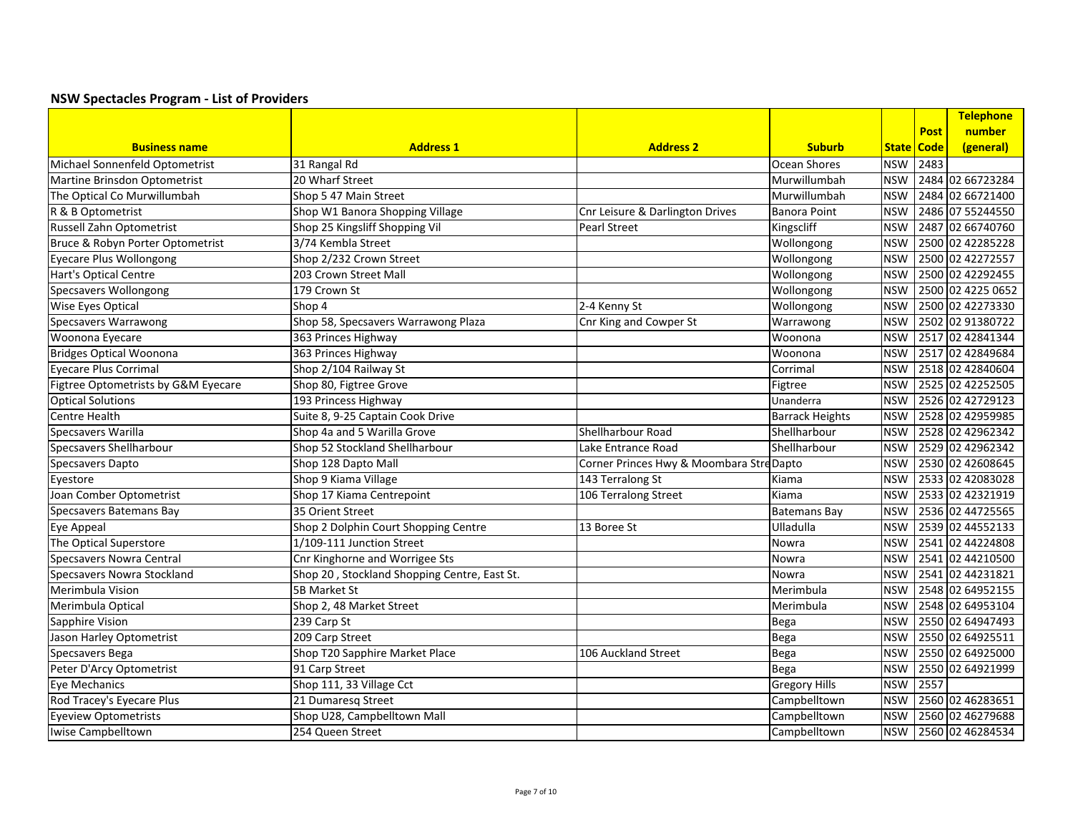|                                     |                                              |                                         |                        |            |             | Telephone         |
|-------------------------------------|----------------------------------------------|-----------------------------------------|------------------------|------------|-------------|-------------------|
|                                     |                                              |                                         |                        |            | <b>Post</b> | number            |
| <b>Business name</b>                | <b>Address 1</b>                             | <b>Address 2</b>                        | <b>Suburb</b>          |            | State Code  | (general)         |
| Michael Sonnenfeld Optometrist      | 31 Rangal Rd                                 |                                         | Ocean Shores           | <b>NSW</b> | 2483        |                   |
| Martine Brinsdon Optometrist        | 20 Wharf Street                              |                                         | Murwillumbah           | <b>NSW</b> |             | 2484 02 66723284  |
| The Optical Co Murwillumbah         | Shop 5 47 Main Street                        |                                         | Murwillumbah           | <b>NSW</b> |             | 2484 02 66721400  |
| R & B Optometrist                   | Shop W1 Banora Shopping Village              | Cnr Leisure & Darlington Drives         | <b>Banora Point</b>    | <b>NSW</b> |             | 2486 07 55244550  |
| Russell Zahn Optometrist            | Shop 25 Kingsliff Shopping Vil               | Pearl Street                            | Kingscliff             | <b>NSW</b> |             | 2487 02 66740760  |
| Bruce & Robyn Porter Optometrist    | 3/74 Kembla Street                           |                                         | Wollongong             | <b>NSW</b> |             | 2500 02 42285228  |
| Eyecare Plus Wollongong             | Shop 2/232 Crown Street                      |                                         | Wollongong             | <b>NSW</b> |             | 2500 02 42272557  |
| Hart's Optical Centre               | 203 Crown Street Mall                        |                                         | Wollongong             | <b>NSW</b> |             | 2500 02 42292455  |
| <b>Specsavers Wollongong</b>        | 179 Crown St                                 |                                         | Wollongong             | <b>NSW</b> |             | 2500 02 4225 0652 |
| <b>Wise Eyes Optical</b>            | Shop 4                                       | 2-4 Kenny St                            | Wollongong             | <b>NSW</b> |             | 2500 02 42273330  |
| <b>Specsavers Warrawong</b>         | Shop 58, Specsavers Warrawong Plaza          | Cnr King and Cowper St                  | Warrawong              | <b>NSW</b> |             | 2502 02 91380722  |
| Woonona Eyecare                     | 363 Princes Highway                          |                                         | Woonona                | <b>NSW</b> |             | 2517 02 42841344  |
| <b>Bridges Optical Woonona</b>      | 363 Princes Highway                          |                                         | Woonona                | <b>NSW</b> |             | 2517 02 42849684  |
| <b>Eyecare Plus Corrimal</b>        | Shop 2/104 Railway St                        |                                         | Corrimal               | <b>NSW</b> |             | 2518 02 42840604  |
| Figtree Optometrists by G&M Eyecare | Shop 80, Figtree Grove                       |                                         | Figtree                | <b>NSW</b> |             | 2525 02 42252505  |
| <b>Optical Solutions</b>            | 193 Princess Highway                         |                                         | Unanderra              | <b>NSW</b> |             | 2526 02 42729123  |
| Centre Health                       | Suite 8, 9-25 Captain Cook Drive             |                                         | <b>Barrack Heights</b> | <b>NSW</b> |             | 2528 02 42959985  |
| Specsavers Warilla                  | Shop 4a and 5 Warilla Grove                  | Shellharbour Road                       | Shellharbour           | <b>NSW</b> |             | 2528 02 42962342  |
| <b>Specsavers Shellharbour</b>      | Shop 52 Stockland Shellharbour               | Lake Entrance Road                      | <b>Shellharbour</b>    | <b>NSW</b> |             | 2529 02 42962342  |
| <b>Specsavers Dapto</b>             | Shop 128 Dapto Mall                          | Corner Princes Hwy & Moombara StreDapto |                        | <b>NSW</b> |             | 2530 02 42608645  |
| Eyestore                            | Shop 9 Kiama Village                         | 143 Terralong St                        | Kiama                  | <b>NSW</b> |             | 2533 02 42083028  |
| Joan Comber Optometrist             | Shop 17 Kiama Centrepoint                    | 106 Terralong Street                    | Kiama                  | <b>NSW</b> |             | 2533 02 42321919  |
| <b>Specsavers Batemans Bay</b>      | 35 Orient Street                             |                                         | <b>Batemans Bay</b>    | <b>NSW</b> |             | 2536 02 44725565  |
| Eye Appeal                          | Shop 2 Dolphin Court Shopping Centre         | 13 Boree St                             | Ulladulla              | <b>NSW</b> |             | 2539 02 44552133  |
| The Optical Superstore              | 1/109-111 Junction Street                    |                                         | <b>Nowra</b>           | <b>NSW</b> |             | 2541 02 44224808  |
| <b>Specsavers Nowra Central</b>     | Cnr Kinghorne and Worrigee Sts               |                                         | Nowra                  | <b>NSW</b> |             | 2541 02 44210500  |
| Specsavers Nowra Stockland          | Shop 20, Stockland Shopping Centre, East St. |                                         | Nowra                  | <b>NSW</b> |             | 2541 02 44231821  |
| Merimbula Vision                    | 5B Market St                                 |                                         | Merimbula              | <b>NSW</b> |             | 2548 02 64952155  |
| Merimbula Optical                   | Shop 2, 48 Market Street                     |                                         | Merimbula              | <b>NSW</b> |             | 2548 02 64953104  |
| <b>Sapphire Vision</b>              | 239 Carp St                                  |                                         | Bega                   | <b>NSW</b> |             | 2550 02 64947493  |
| Jason Harley Optometrist            | 209 Carp Street                              |                                         | Bega                   | <b>NSW</b> |             | 2550 02 64925511  |
| Specsavers Bega                     | Shop T20 Sapphire Market Place               | 106 Auckland Street                     | Bega                   | <b>NSW</b> |             | 2550 02 64925000  |
| Peter D'Arcy Optometrist            | 91 Carp Street                               |                                         | Bega                   | <b>NSW</b> |             | 2550 02 64921999  |
| Eye Mechanics                       | Shop 111, 33 Village Cct                     |                                         | <b>Gregory Hills</b>   | <b>NSW</b> | 2557        |                   |
| Rod Tracey's Eyecare Plus           | 21 Dumaresq Street                           |                                         | Campbelltown           | <b>NSW</b> |             | 2560 02 46283651  |
| <b>Eyeview Optometrists</b>         | Shop U28, Campbelltown Mall                  |                                         | Campbelltown           | <b>NSW</b> |             | 2560 02 46279688  |
| Iwise Campbelltown                  | 254 Queen Street                             |                                         | Campbelltown           | <b>NSW</b> |             | 2560 02 46284534  |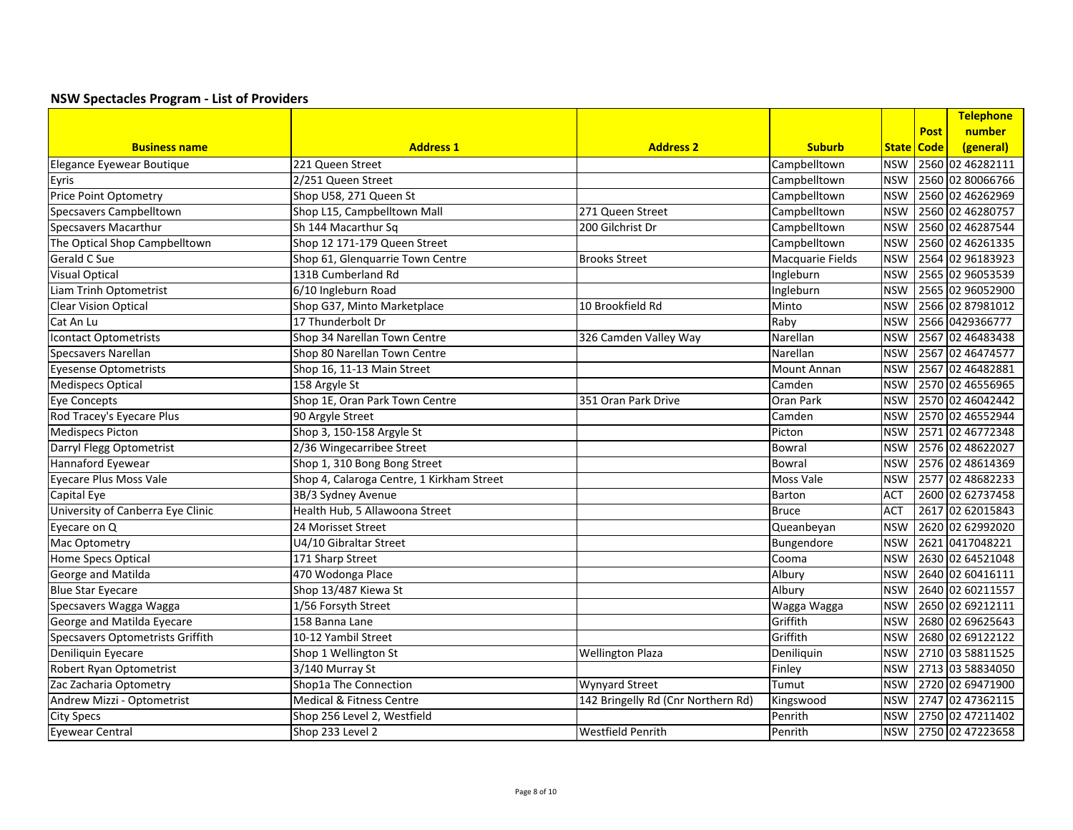|                                         |                                           |                                    |                  |            |             | <b>Telephone</b> |
|-----------------------------------------|-------------------------------------------|------------------------------------|------------------|------------|-------------|------------------|
|                                         |                                           |                                    |                  |            | <b>Post</b> | number           |
| <b>Business name</b>                    | <b>Address 1</b>                          | <b>Address 2</b>                   | <b>Suburb</b>    |            | State Code  | (general)        |
| Elegance Eyewear Boutique               | 221 Queen Street                          |                                    | Campbelltown     | <b>NSW</b> |             | 2560 02 46282111 |
| Eyris                                   | 2/251 Queen Street                        |                                    | Campbelltown     | <b>NSW</b> |             | 2560 02 80066766 |
| Price Point Optometry                   | Shop U58, 271 Queen St                    |                                    | Campbelltown     | <b>NSW</b> |             | 2560 02 46262969 |
| <b>Specsavers Campbelltown</b>          | Shop L15, Campbelltown Mall               | 271 Queen Street                   | Campbelltown     | <b>NSW</b> |             | 2560 02 46280757 |
| <b>Specsavers Macarthur</b>             | Sh 144 Macarthur Sq                       | 200 Gilchrist Dr                   | Campbelltown     | <b>NSW</b> |             | 2560 02 46287544 |
| The Optical Shop Campbelltown           | Shop 12 171-179 Queen Street              |                                    | Campbelltown     | <b>NSW</b> |             | 2560 02 46261335 |
| <b>Gerald C Sue</b>                     | Shop 61, Glenquarrie Town Centre          | <b>Brooks Street</b>               | Macquarie Fields | <b>NSW</b> |             | 2564 02 96183923 |
| <b>Visual Optical</b>                   | 131B Cumberland Rd                        |                                    | Ingleburn        | <b>NSW</b> |             | 2565 02 96053539 |
| Liam Trinh Optometrist                  | 6/10 Ingleburn Road                       |                                    | Ingleburn        | <b>NSW</b> |             | 2565 02 96052900 |
| <b>Clear Vision Optical</b>             | Shop G37, Minto Marketplace               | 10 Brookfield Rd                   | Minto            | <b>NSW</b> |             | 2566 02 87981012 |
| Cat An Lu                               | 17 Thunderbolt Dr                         |                                    | Raby             | <b>NSW</b> |             | 2566 0429366777  |
| <b>Icontact Optometrists</b>            | Shop 34 Narellan Town Centre              | 326 Camden Valley Way              | Narellan         | <b>NSW</b> |             | 2567 02 46483438 |
| Specsavers Narellan                     | Shop 80 Narellan Town Centre              |                                    | Narellan         | <b>NSW</b> |             | 2567 02 46474577 |
| <b>Eyesense Optometrists</b>            | Shop 16, 11-13 Main Street                |                                    | Mount Annan      | <b>NSW</b> |             | 2567 02 46482881 |
| <b>Medispecs Optical</b>                | 158 Argyle St                             |                                    | Camden           | <b>NSW</b> |             | 2570 02 46556965 |
| <b>Eye Concepts</b>                     | Shop 1E, Oran Park Town Centre            | 351 Oran Park Drive                | Oran Park        | <b>NSW</b> |             | 2570 02 46042442 |
| Rod Tracey's Eyecare Plus               | 90 Argyle Street                          |                                    | Camden           | <b>NSW</b> |             | 2570 02 46552944 |
| <b>Medispecs Picton</b>                 | Shop 3, 150-158 Argyle St                 |                                    | Picton           | <b>NSW</b> |             | 2571 02 46772348 |
| Darryl Flegg Optometrist                | 2/36 Wingecarribee Street                 |                                    | Bowral           | <b>NSW</b> |             | 2576 02 48622027 |
| Hannaford Eyewear                       | Shop 1, 310 Bong Bong Street              |                                    | Bowral           | <b>NSW</b> |             | 2576 02 48614369 |
| <b>Eyecare Plus Moss Vale</b>           | Shop 4, Calaroga Centre, 1 Kirkham Street |                                    | Moss Vale        | <b>NSW</b> |             | 2577 02 48682233 |
| Capital Eye                             | 3B/3 Sydney Avenue                        |                                    | Barton           | <b>ACT</b> |             | 2600 02 62737458 |
| University of Canberra Eye Clinic       | Health Hub, 5 Allawoona Street            |                                    | <b>Bruce</b>     | <b>ACT</b> |             | 2617 02 62015843 |
| Eyecare on Q                            | 24 Morisset Street                        |                                    | Queanbeyan       | <b>NSW</b> |             | 2620 02 62992020 |
| Mac Optometry                           | U4/10 Gibraltar Street                    |                                    | Bungendore       | <b>NSW</b> |             | 2621 0417048221  |
| Home Specs Optical                      | 171 Sharp Street                          |                                    | Cooma            | <b>NSW</b> |             | 2630 02 64521048 |
| George and Matilda                      | 470 Wodonga Place                         |                                    | Albury           | <b>NSW</b> |             | 2640 02 60416111 |
| <b>Blue Star Eyecare</b>                | Shop 13/487 Kiewa St                      |                                    | Albury           | <b>NSW</b> |             | 2640 02 60211557 |
| Specsavers Wagga Wagga                  | 1/56 Forsyth Street                       |                                    | Wagga Wagga      | <b>NSW</b> |             | 2650 02 69212111 |
| George and Matilda Eyecare              | 158 Banna Lane                            |                                    | Griffith         | <b>NSW</b> |             | 2680 02 69625643 |
| <b>Specsavers Optometrists Griffith</b> | 10-12 Yambil Street                       |                                    | Griffith         | <b>NSW</b> |             | 2680 02 69122122 |
| Deniliquin Eyecare                      | Shop 1 Wellington St                      | <b>Wellington Plaza</b>            | Deniliquin       | <b>NSW</b> |             | 2710 03 58811525 |
| <b>Robert Ryan Optometrist</b>          | 3/140 Murray St                           |                                    | Finley           | <b>NSW</b> |             | 2713 03 58834050 |
| Zac Zacharia Optometry                  | Shop1a The Connection                     | <b>Wynyard Street</b>              | Tumut            | <b>NSW</b> |             | 2720 02 69471900 |
| Andrew Mizzi - Optometrist              | Medical & Fitness Centre                  | 142 Bringelly Rd (Cnr Northern Rd) | Kingswood        | <b>NSW</b> |             | 2747 02 47362115 |
| <b>City Specs</b>                       | Shop 256 Level 2, Westfield               |                                    | Penrith          | <b>NSW</b> |             | 2750 02 47211402 |
| <b>Eyewear Central</b>                  | Shop 233 Level 2                          | Westfield Penrith                  | Penrith          | <b>NSW</b> |             | 2750 02 47223658 |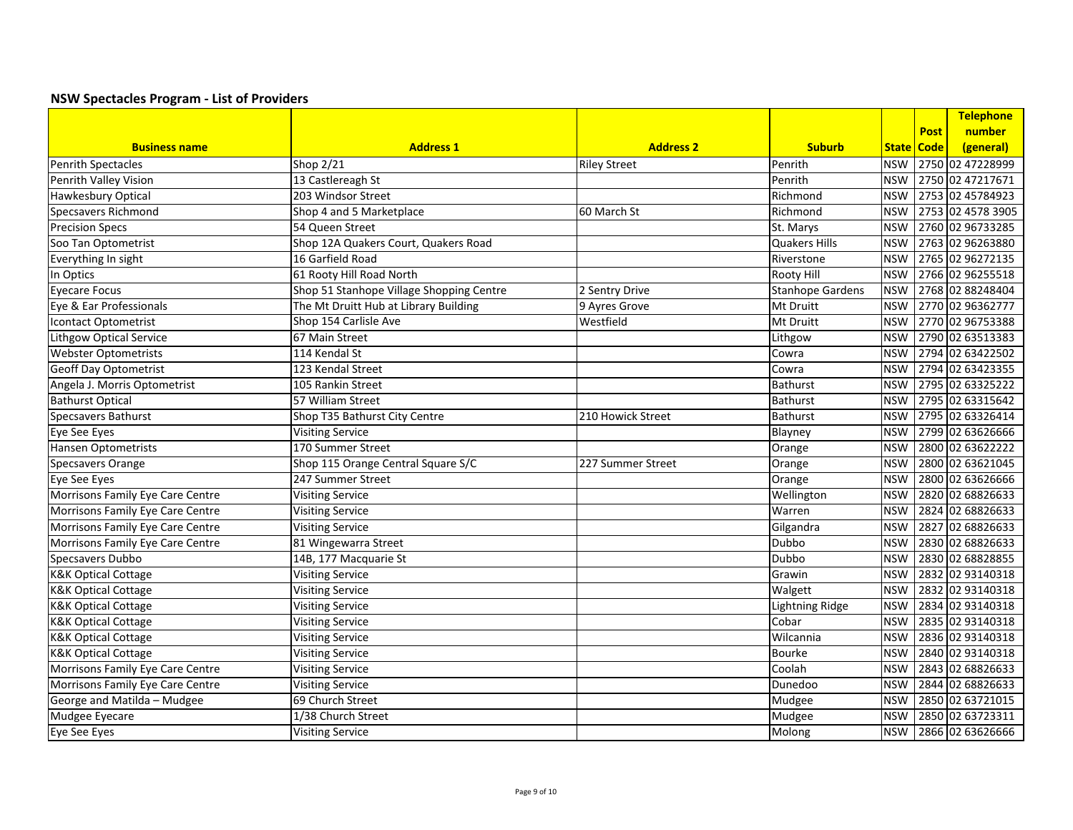|                                  |                                          |                     |                         |            |              | Telephone         |
|----------------------------------|------------------------------------------|---------------------|-------------------------|------------|--------------|-------------------|
|                                  |                                          |                     |                         |            | <b>Post</b>  | number            |
| <b>Business name</b>             | <b>Address 1</b>                         | <b>Address 2</b>    | <b>Suburb</b>           |            | State   Code | (general)         |
| Penrith Spectacles               | Shop 2/21                                | <b>Riley Street</b> | Penrith                 | <b>NSW</b> |              | 2750 02 47228999  |
| Penrith Valley Vision            | 13 Castlereagh St                        |                     | Penrith                 | <b>NSW</b> |              | 2750 02 47217671  |
| <b>Hawkesbury Optical</b>        | 203 Windsor Street                       |                     | Richmond                | <b>NSW</b> |              | 2753 02 45784923  |
| <b>Specsavers Richmond</b>       | Shop 4 and 5 Marketplace                 | 60 March St         | Richmond                | <b>NSW</b> |              | 2753 02 4578 3905 |
| <b>Precision Specs</b>           | 54 Queen Street                          |                     | St. Marys               | <b>NSW</b> |              | 2760 02 96733285  |
| Soo Tan Optometrist              | Shop 12A Quakers Court, Quakers Road     |                     | Quakers Hills           | <b>NSW</b> |              | 2763 02 96263880  |
| Everything In sight              | 16 Garfield Road                         |                     | Riverstone              | <b>NSW</b> |              | 2765 02 96272135  |
| In Optics                        | 61 Rooty Hill Road North                 |                     | <b>Rooty Hill</b>       | <b>NSW</b> |              | 2766 02 96255518  |
| <b>Eyecare Focus</b>             | Shop 51 Stanhope Village Shopping Centre | 2 Sentry Drive      | <b>Stanhope Gardens</b> | <b>NSW</b> |              | 2768 02 88248404  |
| Eye & Ear Professionals          | The Mt Druitt Hub at Library Building    | 9 Ayres Grove       | Mt Druitt               | <b>NSW</b> |              | 2770 02 96362777  |
| Icontact Optometrist             | Shop 154 Carlisle Ave                    | Westfield           | Mt Druitt               | <b>NSW</b> |              | 2770 02 96753388  |
| <b>Lithgow Optical Service</b>   | 67 Main Street                           |                     | Lithgow                 | <b>NSW</b> |              | 2790 02 63513383  |
| <b>Webster Optometrists</b>      | 114 Kendal St                            |                     | Cowra                   | <b>NSW</b> |              | 2794 02 63422502  |
| <b>Geoff Day Optometrist</b>     | 123 Kendal Street                        |                     | Cowra                   | <b>NSW</b> |              | 2794 02 63423355  |
| Angela J. Morris Optometrist     | 105 Rankin Street                        |                     | <b>Bathurst</b>         | <b>NSW</b> |              | 2795 02 63325222  |
| <b>Bathurst Optical</b>          | 57 William Street                        |                     | <b>Bathurst</b>         | <b>NSW</b> |              | 2795 02 63315642  |
| <b>Specsavers Bathurst</b>       | Shop T35 Bathurst City Centre            | 210 Howick Street   | Bathurst                | <b>NSW</b> |              | 2795 02 63326414  |
| Eye See Eyes                     | <b>Visiting Service</b>                  |                     | Blayney                 | <b>NSW</b> |              | 2799 02 63626666  |
| Hansen Optometrists              | 170 Summer Street                        |                     | Orange                  | <b>NSW</b> |              | 2800 02 63622222  |
| <b>Specsavers Orange</b>         | Shop 115 Orange Central Square S/C       | 227 Summer Street   | Orange                  | <b>NSW</b> |              | 2800 02 63621045  |
| Eye See Eyes                     | 247 Summer Street                        |                     | Orange                  | <b>NSW</b> |              | 2800 02 63626666  |
| Morrisons Family Eye Care Centre | <b>Visiting Service</b>                  |                     | Wellington              | <b>NSW</b> |              | 2820 02 68826633  |
| Morrisons Family Eye Care Centre | <b>Visiting Service</b>                  |                     | Warren                  | <b>NSW</b> |              | 2824 02 68826633  |
| Morrisons Family Eye Care Centre | <b>Visiting Service</b>                  |                     | Gilgandra               | <b>NSW</b> |              | 2827 02 68826633  |
| Morrisons Family Eye Care Centre | 81 Wingewarra Street                     |                     | Dubbo                   | <b>NSW</b> |              | 2830 02 68826633  |
| Specsavers Dubbo                 | 14B, 177 Macquarie St                    |                     | Dubbo                   | <b>NSW</b> |              | 2830 02 68828855  |
| <b>K&amp;K Optical Cottage</b>   | <b>Visiting Service</b>                  |                     | Grawin                  | <b>NSW</b> |              | 2832 02 93140318  |
| <b>K&amp;K Optical Cottage</b>   | <b>Visiting Service</b>                  |                     | Walgett                 | <b>NSW</b> |              | 2832 02 93140318  |
| <b>K&amp;K Optical Cottage</b>   | <b>Visiting Service</b>                  |                     | <b>Lightning Ridge</b>  | <b>NSW</b> |              | 2834 02 93140318  |
| <b>K&amp;K Optical Cottage</b>   | <b>Visiting Service</b>                  |                     | Cobar                   | <b>NSW</b> |              | 2835 02 93140318  |
| <b>K&amp;K Optical Cottage</b>   | <b>Visiting Service</b>                  |                     | Wilcannia               | <b>NSW</b> |              | 2836 02 93140318  |
| <b>K&amp;K Optical Cottage</b>   | <b>Visiting Service</b>                  |                     | <b>Bourke</b>           | <b>NSW</b> |              | 2840 02 93140318  |
| Morrisons Family Eye Care Centre | <b>Visiting Service</b>                  |                     | Coolah                  | <b>NSW</b> |              | 2843 02 68826633  |
| Morrisons Family Eye Care Centre | <b>Visiting Service</b>                  |                     | Dunedoo                 | <b>NSW</b> |              | 2844 02 68826633  |
| George and Matilda - Mudgee      | 69 Church Street                         |                     | Mudgee                  | <b>NSW</b> |              | 2850 02 63721015  |
| Mudgee Eyecare                   | 1/38 Church Street                       |                     | Mudgee                  | <b>NSW</b> |              | 2850 02 63723311  |
| Eye See Eyes                     | <b>Visiting Service</b>                  |                     | Molong                  | <b>NSW</b> |              | 2866 02 63626666  |